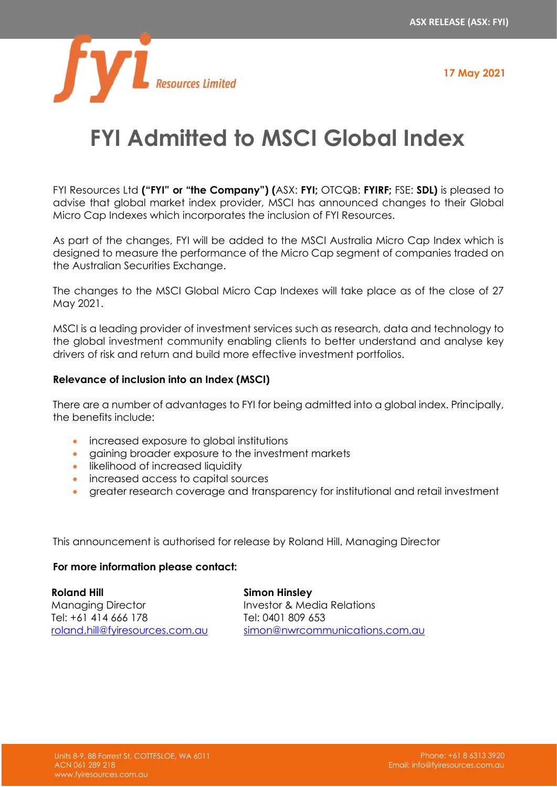**17 May 2021**



## **FYI Admitted to MSCI Global Index**

FYI Resources Ltd **("FYI" or "the Company") (**ASX: **FYI;** OTCQB: **FYIRF;** FSE: **SDL)** is pleased to advise that global market index provider, MSCI has announced changes to their Global Micro Cap Indexes which incorporates the inclusion of FYI Resources.

As part of the changes, FYI will be added to the MSCI Australia Micro Cap Index which is designed to measure the performance of the Micro Cap segment of companies traded on the Australian Securities Exchange.

The changes to the MSCI Global Micro Cap Indexes will take place as of the close of 27 May 2021.

MSCI is a leading provider of investment services such as research, data and technology to the global investment community enabling clients to better understand and analyse key drivers of risk and return and build more effective investment portfolios.

## **Relevance of inclusion into an Index (MSCI)**

There are a number of advantages to FYI for being admitted into a global index. Principally, the benefits include:

- increased exposure to global institutions
- gaining broader exposure to the investment markets
- likelihood of increased liquidity
- increased access to capital sources
- greater research coverage and transparency for institutional and retail investment

This announcement is authorised for release by Roland Hill, Managing Director

## **For more information please contact:**

**Roland Hill** Managing Director Tel: +61 414 666 178 [roland.hill@fyiresources.com.au](mailto:roland.hill@fyiresources.com.au) **Simon Hinsley** Investor & Media Relations Tel: 0401 809 653 [simon@nwrcommunications.com.au](mailto:simon@nwrcommunications.com.au)